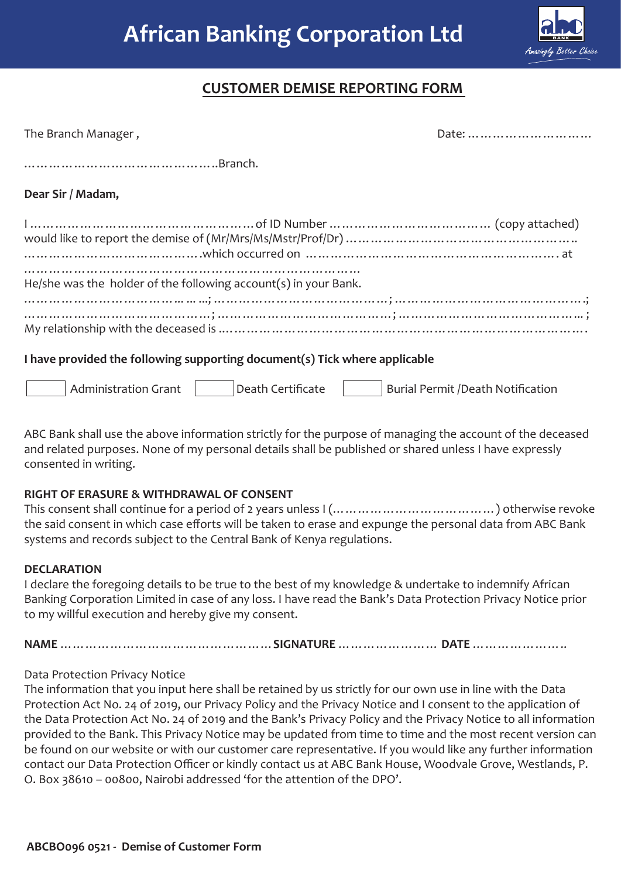

## **CUSTOMER DEMISE REPORTING FORM**

| The Branch Manager,                                                        |                                          |  |  |
|----------------------------------------------------------------------------|------------------------------------------|--|--|
|                                                                            |                                          |  |  |
| Dear Sir / Madam,                                                          |                                          |  |  |
|                                                                            |                                          |  |  |
| He/she was the holder of the following account(s) in your Bank.            |                                          |  |  |
|                                                                            |                                          |  |  |
| I have provided the following supporting document(s) Tick where applicable |                                          |  |  |
| <b>Administration Grant</b><br>Death Certificate                           | <b>Burial Permit /Death Notification</b> |  |  |

ABC Bank shall use the above information strictly for the purpose of managing the account of the deceased and related purposes. None of my personal details shall be published or shared unless I have expressly consented in writing.

## **RIGHT OF ERASURE & WITHDRAWAL OF CONSENT**

This consent shall continue for a period of 2 years unless I (…………………………………) otherwise revoke the said consent in which case efforts will be taken to erase and expunge the personal data from ABC Bank systems and records subject to the Central Bank of Kenya regulations.

## **DECLARATION**

I declare the foregoing details to be true to the best of my knowledge & undertake to indemnify African Banking Corporation Limited in case of any loss. I have read the Bank's Data Protection Privacy Notice prior to my willful execution and hereby give my consent.

**NAME** ……………………………………………**SIGNATURE** …………………… **DATE** …………………..

## Data Protection Privacy Notice

The information that you input here shall be retained by us strictly for our own use in line with the Data Protection Act No. 24 of 2019, our Privacy Policy and the Privacy Notice and I consent to the application of the Data Protection Act No. 24 of 2019 and the Bank's Privacy Policy and the Privacy Notice to all information provided to the Bank. This Privacy Notice may be updated from time to time and the most recent version can be found on our website or with our customer care representative. If you would like any further information contact our Data Protection Officer or kindly contact us at ABC Bank House, Woodvale Grove, Westlands, P. O. Box 38610 – 00800, Nairobi addressed 'for the attention of the DPO'.